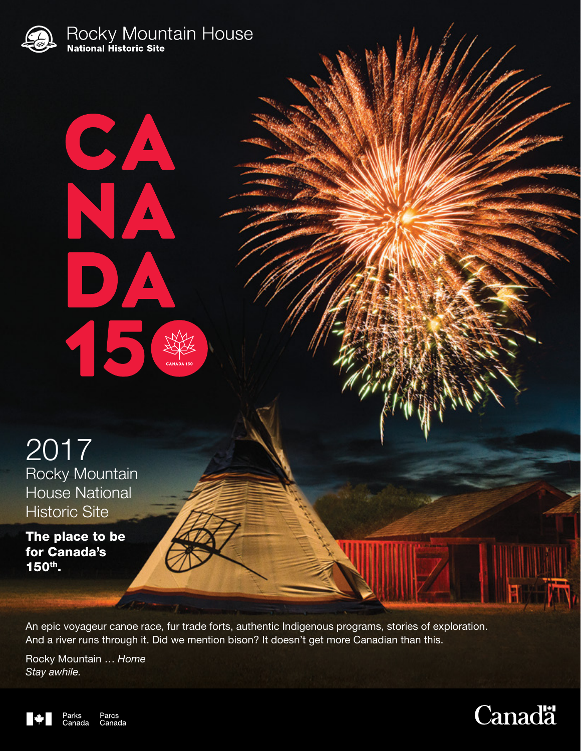

 $\frac{1}{\sqrt{2}}$ 

 $\Delta$ 

 $\blacktriangle$ 

D

2017 Rocky Mountain House National Historic Site

The place to be for Canada's 150th.

An epic voyageur canoe race, fur trade forts, authentic Indigenous programs, stories of exploration. And a river runs through it. Did we mention bison? It doesn't get more Canadian than this.

Rocky Mountain … *Home Stay awhile.*